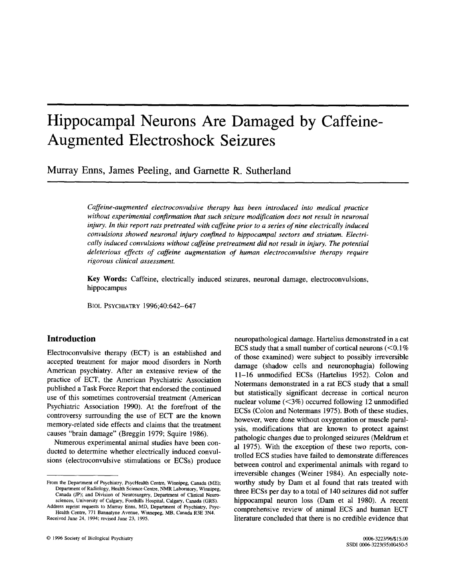# **Hippocampal Neurons Are Damaged by Caffeine-Augmented Electroshock Seizures**

**Murray Enns, James Peeling, and Garnette R. Sutherland** 

*Caffeine-augmented electroconvulsive therapy has been introduced into medical practice without experimental confirmation that such seizure modification does not result in neuronal injury. In this report rats pretreated with caffeine prior to a series of nine electrically induced convulsions showed neuronal injury confined to hippocampal sectors and striatum. Electrically induced convulsions without caffeine pretreatment did not result in injury. The potential deleterious effects of caffeine augmentation of human electroconvulsive therapy require rigorous clinical assessment.* 

**Key Words:** Caffeine, electrically induced seizures, neuronal damage, electroconvulsions, hippocampus

BIOL PSYCHIATRY 1996;40:642-647

# **Introduction**

Electroconvulsive therapy (ECT) is an established and accepted treatment for major mood disorders in North American psychiatry. After an extensive review of the practice of ECT, the American Psychiatric Association published a Task Force Report that endorsed the continued use of this sometimes controversial treatment (American Psychiatric Association 1990). At the forefront of the controversy surrounding the use of ECT are the known memory-related side effects and claims that the treatment causes "brain damage" (Breggin 1979; Squire 1986).

Numerous experimental animal studies have been conducted to determine whether electrically induced convulsions (electroconvulsive stimulations or ECSs) produce neuropathological damage. Hartelius demonstrated in a cat ECS study that a small number of cortical neurons  $(< 0.1\%$ of those examined) were subject to possibly irreversible damage (shadow cells and neuronophagia) following 11-16 unmodified ECSs (Hartelius 1952). Colon and Notermans demonstrated in a rat ECS study that a small but statistically significant decrease in cortical neuron nuclear volume  $(< 3\%)$  occurred following 12 unmodified ECSs (Colon and Notermans 1975). Both of these studies, however, were done without oxygenation or muscle paralysis, modifications that are known to protect against pathologic changes due to prolonged seizures (Meldrum et al 1975). With the exception of these two reports, controlled ECS studies have failed to demonstrate differences between control and experimental animals with regard to irreversible changes (Weiner 1984). An especially noteworthy study by Dam et al found that rats treated with three ECSs per day to a total of 140 seizures did not suffer hippocampal neuron loss (Dam et al 1980). A recent comprehensive review of animal ECS and human ECT literature concluded that there is no credible evidence that

From the Department of Psychiatry, PsycHealth Centre, Winnipeg, Canada (ME); Department of Radiology, Health Science Centre, NMR Laboratory, Winnipeg, Canada UP); and Division of Neurosurgery, Department of Clinical Neurosciences, University of Calgary, Foothills Hospital, Calgary, Canada (GRS).

Address reprint requests to Murray Enns, MD, Department of Psychiatry, Psyc-Health Centre, 771 Bannatyne Avenue, Winnepeg, MB, Canada R3E 3N4. Received June 24, 1994; revised June 23, 1995.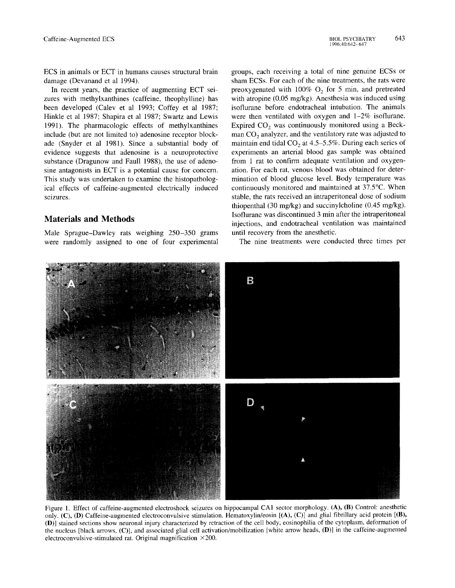ECS in animals or ECT in humans causes structural brain damage (Devanand et al 1994).

In recent years, the practice of augmenting ECT seizures with methylxanthines (caffeine, theophylline) has been developed (Calev et al 1993; Coffey et al 1987; Hinkle et al 1987; Shapira et al 1987; Swartz and Lewis 1991). The pharmacologic effects of methylxanthines include (but are not limited to) adenosine receptor blockade (Snyder et al 1981). Since a substantial body of evidence suggests that adenosine is a neuroprotective substance (Dragunow and Faull 1988), the use of adenosine antagonists in ECT is a potential cause for concern. This study was undertaken to examine the histopathological effects of caffeine-augmented electrically induced seizures.

## **Materials and Methods**

Male Sprague-Dawley rats weighing 250-350 grams were randomly assigned to one of four experimental groups, each receiving a total of nine genuine ECSs or sham ECSs. For each of the nine treatments, the rats were preoxygenated with 100%  $O_2$  for 5 min, and pretreated with atropine (0.05 mg/kg). Anesthesia was induced using isoflurane before endotracheal intubation. The animals were then ventilated with oxygen and 1-2% isoflurane. Expired  $CO<sub>2</sub>$  was continuously monitored using a Beckman  $CO<sub>2</sub>$  analyzer, and the ventilatory rate was adjusted to maintain end tidal  $CO<sub>2</sub>$  at 4.5–5.5%. During each series of experiments an arterial blood gas sample was obtained from 1 rat to confirm adequate ventilation and oxygenation. For each rat, venous blood was obtained for determination of blood glucose level. Body temperature was continuously monitored and maintained at 37.5°C. When stable, the rats received an intraperitoneal dose of sodium thiopenthal (30 mg/kg) and succinylcholine (0.45 mg/kg). Isoflurane was discontinued 3 min after the intraperitoneal injections, and endotracheal ventilation was maintained until recovery from the anesthetic.

The nine treatments were conducted three times per



Figure 1. Effect of caffeine-augmented electroshock seizures on hippocampal CA1 sector morphology. (A), (B) Control: anesthetic only. (C), (D) Caffeine-augmented electroconvulsive stimulation. Hematoxylin/eosin [(A), (C)] and glial fibrillary acid protein [(B), (D)] stained sections show neuronal injury characterized by retraction of the cell body, eosinophilia of the cytoplasm, deformation of the nucleus [black arrows, (C)], and associated glial cell activation/mobilization [white arrow heads, (D)] in the caffeine-augmented electroconvulsive-stimulated rat. Original magnification ×200.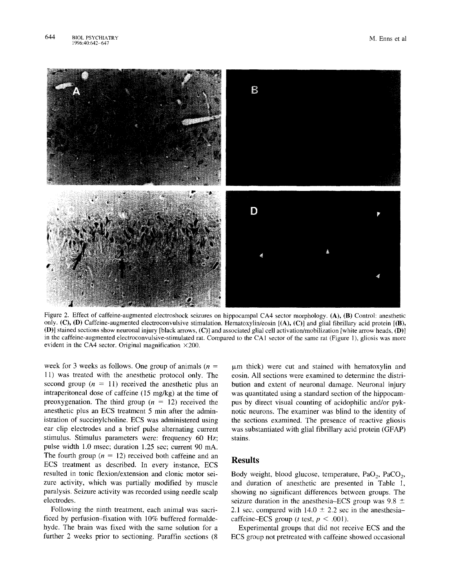

Figure 2. Effect of caffeine-augmented electroshock seizures on hippocampal CA4 sector morphology. (A), (B) Control: anesthetic only. (C), (D) Caffeine-augmented electroconvulsive stimulation. Hematoxylin/eosin [(A), (C)] and glial fibrillary acid protein [(B), (D)] stained sections show neuronal injury [black arrows, (C)] and associated glial cell activation/mobilization [white arrow heads, (D)] in the caffeine-augmented electroconvulsive-stimulated rat. Compared to the CA1 sector of the same rat (Figure 1), gliosis was more evident in the CA4 sector. Original magnification  $\times$ 200.

week for 3 weeks as follows. One group of animals  $(n =$ 11) was treated with the anesthetic protocol only. The second group  $(n = 11)$  received the anesthetic plus an intraperitoneal dose of caffeine (15 mg/kg) at the time of preoxygenation. The third group  $(n = 12)$  received the anesthetic plus an ECS treatment 5 min after the administration of succinylcholine. ECS was administered using ear clip electrodes and a brief pulse alternating current stimulus. Stimulus parameters were: frequency 60 Hz; pulse width 1.0 msec; duration 1.25 sec; current 90 mA. The fourth group ( $n = 12$ ) received both caffeine and an ECS treatment as described. In every instance, ECS resulted in tonic flexion/extension and clonic motor seizure activity, which was partially modified by muscle paralysis. Seizure activity was recorded using needle scalp electrodes.

Following the ninth treatment, each animal was sacrificed by perfusion-fixation with 10% buffered formaldehyde. The brain was fixed with the same solution for a further 2 weeks prior to sectioning. Paraffin sections (8

 $~\mu$ m thick) were cut and stained with hematoxylin and eosin. All sections were examined to determine the distribution and extent of neuronal damage. Neuronal injury was quantitated using a standard section of the hippocampus by direct visual counting of acidophilic and/or pyknotic neurons. The examiner was blind to the identity of the sections examined. The presence of reactive gliosis was substantiated with glial fibrillary acid protein (GFAP) stains.

#### **Results**

Body weight, blood glucose, temperature,  $PaO<sub>2</sub>$ ,  $PaCO<sub>2</sub>$ , and duration of anesthetic are presented in Table l, showing no significant differences between groups. The seizure duration in the anesthesia–ECS group was  $9.8 \pm$ 2.1 sec, compared with  $14.0 \pm 2.2$  sec in the anesthesiacaffeine–ECS group (*t* test,  $p < .001$ ).

Experimental groups that did not receive ECS and the ECS group not pretreated with caffeine showed occasional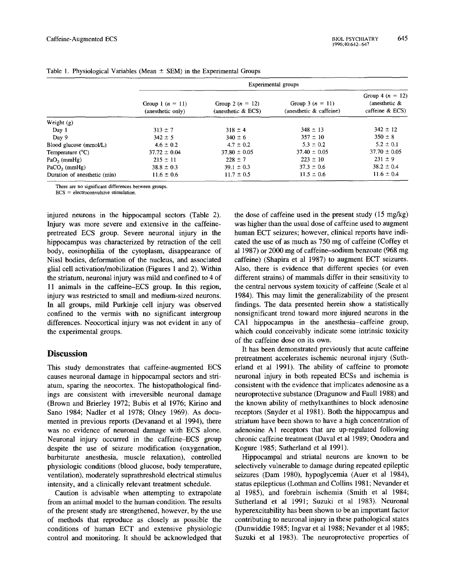|                              | Experimental groups                     |                                             |                                                 |                                                           |  |  |  |
|------------------------------|-----------------------------------------|---------------------------------------------|-------------------------------------------------|-----------------------------------------------------------|--|--|--|
|                              | Group 1 $(n = 11)$<br>(anesthetic only) | Group 2 $(n = 12)$<br>(anesthetic $\&$ ECS) | Group 3 ( $n = 11$ )<br>(anesthetic & caffeine) | Group 4 $(n = 12)$<br>(anesthetic $\&$<br>caffeine & ECS) |  |  |  |
| Weight $(g)$                 |                                         |                                             |                                                 |                                                           |  |  |  |
| Day 1                        | $313 \pm 7$                             | $318 \pm 4$                                 | $348 \pm 13$                                    | $342 \pm 12$                                              |  |  |  |
| Day 9                        | $342 \pm 5$                             | $340 \pm 6$                                 | $357 \pm 10$                                    | $350 \pm 8$                                               |  |  |  |
| Blood glucose (mmol/L)       | $4.6 \pm 0.2$                           | $4.7 \pm 0.2$                               | $5.3 \pm 0.2$                                   | $5.2 \pm 0.1$                                             |  |  |  |
| Temperature $(^{\circ}C)$    | $37.72 \pm 0.04$                        | $37.80 \pm 0.05$                            | $37.40 \pm 0.05$                                | $37.70 \pm 0.05$                                          |  |  |  |
| $PaO2$ (mmHg)                | $215 \pm 11$                            | $228 \pm 7$                                 | $223 \pm 10$                                    | $231 \pm 9$                                               |  |  |  |
| $PaCO2$ (mmHg)               | $38.8 \pm 0.3$                          | $39.1 \pm 0.3$                              | $37.3 \pm 0.6$                                  | $38.2 \pm 0.4$                                            |  |  |  |
| Duration of anesthetic (min) | $11.6 \pm 0.6$                          | $11.7 \pm 0.5$                              | $11.5 \pm 0.6$                                  | $11.6 \pm 0.4$                                            |  |  |  |

Table 1. Physiological Variables (Mean  $\pm$  SEM) in the Experimental Groups

There are no significant differences between groups.

ECS = electroconvulsive stimulation.

injured neurons in the hippocampal sectors (Table 2). Injury was more severe and extensive in the caffeinepretreated ECS group. Severe neuronal injury in the hippocampus was characterized by retraction of the cell body, eosinophilia of the cytoplasm, disappearance of Nissl bodies, deformation of the nucleus, and associated glial cell activation/mobilization (Figures 1 and 2). Within the striatum, neuronal injury was mild and confined to 4 of 11 animals in the caffeine-ECS group. In this region, injury was restricted to small and medium-sized neurons. In all groups, mild Purkinje cell injury was observed confined to the vermis with no significant intergroup differences. Neocortical injury was not evident in any of the experimental groups.

## **Discussion**

This study demonstrates that caffeine-augmented ECS causes neuronal damage in hippocampal sectors and striatum, sparing the neocortex. The histopathological findings are consistent with irreversible neuronal damage (Brown and Brierley 1972; Bubis et al 1976; Kirino and Sano 1984; Nadler et al 1978; Olney 1969). As documented in previous reports (Devanand et al 1994), there was no evidence of neuronal damage with ECS alone. Neuronal injury occurred in the caffeine-ECS group despite the use of seizure modification (oxygenation, barbiturate anesthesia, muscle relaxation), controlled physiologic conditions (blood glucose, body temperature, ventilation), moderately suprathreshold electrical stimulus intensity, and a clinically relevant treatment schedule.

Caution is advisable when attempting to extrapolate from an animal model to the human condition. The results of the present study are strengthened, however, by the use of methods that reproduce as closely as possible the conditions of human ECT and extensive physiologic control and monitoring. It should be acknowledged that

the dose of caffeine used in the present study (15 mg/kg) was higher than the usual dose of caffeine used to augment human ECT seizures; however, clinical reports have indicated the use of as much as 750 mg of caffeine (Coffey et al 1987) or 2000 mg of caffeine-sodium benzoate (968 mg caffeine) (Shapira et al 1987) to augment ECT seizures. Also, there is evidence that different species (or even different strains) of mammals differ in their sensitivity to the central nervous system toxicity of caffeine (Seale et al 1984). This may limit the generalizability of the present findings. The data presented herein show a statistically nonsignificant trend toward more injured neurons in the CA1 hippocampus in the anesthesia-caffeine group, which could conceivably indicate some intrinsic toxicity of the caffeine dose on its own.

It has been demonstrated previously that acute caffeine pretreatment accelerates ischemic neuronal injury (Sutherland et al 1991). The ability of caffeine to promote neuronal injury in both repeated ECSs and ischemia is consistent with the evidence that implicates adenosine as a neuroprotective substance (Dragunow and Faull 1988) and the known ability of methylxanthines to block adenosine receptors (Snyder et al 1981). Both the hippocampus and striatum have been shown to have a high concentration of adenosine A1 receptors that are up-regulated following chronic caffeine treatment (Daval et al 1989; Onodera and Kogure 1985; Sutherland et al 1991).

Hippocampal and striatal neurons are known to be selectively vulnerable to damage during repeated epileptic seizures (Dam 1980), hypoglycemia (Auer et al 1984), status epilepticus (Lothman and Collins 1981; Nevander et al 1985), and forebrain ischemia (Smith et al 1984; Sutherland et al 1991; Suzuki et al 1983). Neuronal hyperexcitability has been shown to be an important factor contributing to neuronal injury in these pathological states (Dunwiddie 1985; Ingvar et al 1988; Nevander et al 1985; Suzuki et al 1983). The neuroprotective properties of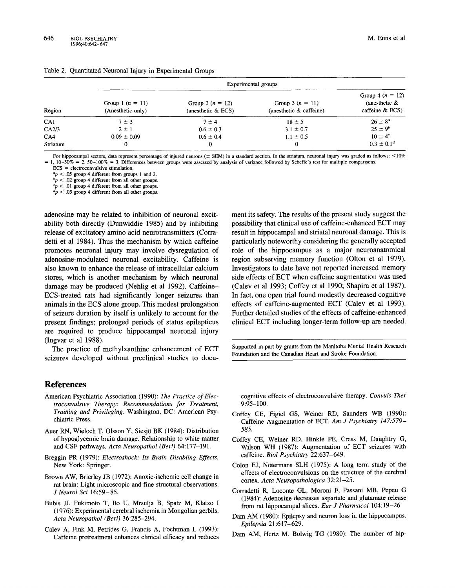| Region   | Experimental groups                     |                                            |                                               |                                                            |  |  |  |
|----------|-----------------------------------------|--------------------------------------------|-----------------------------------------------|------------------------------------------------------------|--|--|--|
|          | Group 1 $(n = 11)$<br>(Anesthetic only) | Group 2 $(n = 12)$<br>(anesthetic $&$ ECS) | Group 3 $(n = 11)$<br>(anesthetic & caffeine) | Group 4 $(n = 12)$<br>(anesthetic $\&$<br>caffeine $& ECS$ |  |  |  |
| CA1      | $7 \pm 3$                               | $7 \pm 4$                                  | $18 \pm 5$                                    | $26 \pm 8^a$                                               |  |  |  |
| CA2/3    | $2 \pm 1$                               | $0.6 \pm 0.3$                              | $3.1 \pm 0.7$                                 | $25 \pm 9^b$                                               |  |  |  |
| CA4      | $0.09 \pm 0.09$                         | $0.6 \pm 0.4$                              | $1.1 \pm 0.5$                                 | $10 \pm 4^c$                                               |  |  |  |
| Striatum | 0                                       | 0                                          | 0                                             | $0.3 \pm 0.1^d$                                            |  |  |  |

|  |  | Table 2. Quantitated Neuronal Injury in Experimental Groups |  |
|--|--|-------------------------------------------------------------|--|
|  |  |                                                             |  |

For hippocampal sectors, data represent percentage of injured neurons ( $\pm$  SEM) in a standard section. In the striatum, neuronal injury was graded as follows: <10% 1,  $10-50\% = 2$ ,  $50-100\% = 3$ . Differences between groups were assessed by analysis of variance followed by Scheffe's test for multiple comparisons.

 $ECS = electroconvulsive stimulation.$ 

 $a_p < .05$  group 4 different from groups 1 and 2.

 $b_p < .02$  group 4 different from all other groups.

 $<$  .01 group 4 different from all other groups.

 $dp < .05$  group 4 different from all other groups.

adenosine may be related to inhibition of neuronal excitability both directly (Dunwiddie 1985) and by inhibiting release of excitatory amino acid neurotransmitters (Corradetti et al 1984). Thus the mechanism by which caffeine promotes neuronal injury may involve dysregulation of adenosine-modulated neuronal excitability. Caffeine is also known to enhance the release of intracellular calcium stores, which is another mechanism by which neuronal damage may be produced (Nehlig et al 1992). Caffeine-ECS-treated rats had significantly longer seizures than animals in the ECS alone group. This modest prolongation of seizure duration by itself is unlikely to account for the present findings; prolonged periods of status epilepticus are required to produce hippocampal neuronal injury (Ingvar et al 1988).

The practice of methylxanthine enhancement of ECT seizures developed without preclinical studies to docu-

#### **References**

- American Psychiatric Association (1990): *The Practice of Electroconvulsive Therapy: Recommendations for Treatment, Training and Privileging.* Washington, DC: American Psychiatric Press.
- Auer RN, Wieloch T, Olsson Y, Siesjö BK (1984): Distribution of hypoglycemic brain damage: Relationship to white matter and CSF pathways. *Acta Neuropathol (Bed)* 64:177-191.
- Breggin PR (1979): *Electroshock: Its Brain Disabling Effects.*  New York: Springer.
- Brown AW, Brierley JB (1972): Anoxic-ischemic cell change in rat brain: Light microscopic and fine structural observations. *J Neurol Sci* 16:59-85.
- Bubis JJ, Fukimoto T, Ito U, Mrsulja B, Spatz M, K1atzo I (1976): Experimental cerebral ischemia in Mongolian gerbils. *Acta Neuropathol (Bed)* 36:285-294.
- Calev A, Fink M, Petrides G, Francis A, Fochtman L (1993): Caffeine pretreatment enhances clinical efficacy and reduces

ment its safety. The results of the present study suggest the possibility that clinical use of caffeine-enhanced ECT may result in hippocampal and striatal neuronal damage. This is particularly noteworthy considering the generally accepted role of the hippocampus as a major neuroanatomical region subserving memory function (Olton et al 1979). Investigators to date have not reported increased memory side effects of ECT when caffeine augmentation was used (Calev et al 1993; Coffey et al 1990; Shapira et al 1987). In fact, one open trial found modestly decreased cognitive effects of caffeine-augmented ECT (Calev et al 1993). Further detailed studies of the effects of caffeine-enhanced clinical ECT including longer-term follow-up are needed.

Supported in part by grants from the Manitoba Mental Health Research Foundation and the Canadian Heart and Stroke Foundation.

cognitive effects of electroconvulsive therapy. *Convuls Ther*  9:95-100.

- Coffey CE, Figiel GS, Weiner RD, Saunders WB (1990): Caffeine Augmentation of ECT. *Am J Psychiatry 147:579- 585.*
- Coffey CE, Weiner RD, Hinkle PE, Cress M, Daughtry G, Wilson WH (1987): Augmentation of ECT seizures with caffeine. *Biol Psychiatry* 22:637-649.
- Colon EJ, Notermans SLH (1975): A long term study of the effects of electroconvulsions on the structure of the cerebral cortex. *Acta Neuropathologica* 32:21-25.
- Corradetti R, Loconte GL, Moroni F, Passani MB, Pepeu G (1984): Adenosine decreases aspartate and glutamate release from rat hippocampal slices. *Eur J Pharmacol* 104:19-26.
- Dam AM (1980): Epilepsy and neuron loss in the hippocampus. *Epilepsia* 21:617-629.
- Dam AM, Hertz M, Bolwig TG (1980): The number of hip-